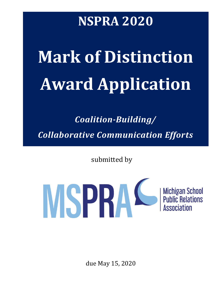# **NSPRA 2020**

# **Mark of Distinction Award Application**

*Coalition-Building/*

*Collaborative Communication Efforts*

submitted by



due May 15, 2020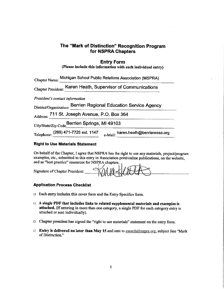#### The "Mark of Distinction" Recognition Program for NSPRA Chapters

#### **Entry Form**

|  | (Please include this information with each individual entry) |  |  |  |
|--|--------------------------------------------------------------|--|--|--|
|--|--------------------------------------------------------------|--|--|--|

| Chapter Name: Michigan School Public Relations Association (MSPRA)         |  |
|----------------------------------------------------------------------------|--|
| Chapter President: Karen Heath, Supervisor of Communications               |  |
| President's contact information                                            |  |
| District/Organization: Berrien Regional Education Service Agency           |  |
| Address: 711 St. Joseph Avenue, P.O. Box 364                               |  |
| City/State/Zip Code Berrien Springs, MI 49103                              |  |
| Telephone: (269) 471-7725 ext. 1147<br>e-Mail: karen.heath@berrienresa.org |  |

#### **Right to Use Materials Statement**

On behalf of the Chapter, I agree that NSPRA has the right to use any materials, project/program examples, etc., submitted in this entry in Association print/online publications, on the website, and as "best practice" resources for NSPRA chapters.

| $\infty$<br>Signature of Chapter President:<br>TWWHEN " |  |
|---------------------------------------------------------|--|
|---------------------------------------------------------|--|

#### **Application Process Checklist**

- $\Box$  Each entry includes this cover form and the Entry Specifics form.
- $\Box$  A single PDF that includes links to related supplemental materials and examples is attached. (If entering in more than one category, a single PDF for each category entry is attached or sent individually).
- □ Chapter president has signed the "right to use materials" statement on the entry form.
- **Entry is delivered no later than May 15 and sent to awards@nspra.org, subject line "Mark** of Distinction."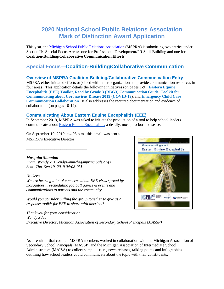## **2020 National School Public Relations Association Mark of Distinction Award Application**

This year, the [Michigan School Public Relations Association](http://www.mspra.org/) (MSPRA) is submitting two entries under Section II: Special Focus Areas: one for Professional Development/PR Skill-Building and one for **Coalition-Building/Collaborative Communication Efforts.**

### **Special Focus—Coalition-Building/Collaborative Communication**

#### **Overview of MSPRA Coalition-Building/Collaborative Communication Entry**

MSPRA either initiated efforts or joined with other organizations to provide communication resources in four areas. This application details the following initiatives (on pages 1-9): **Eastern Equine Encephalitis (EEE) Toolkit, Read by Grade 3 (RBG3) Communication Guide, Toolkit for Communicating about Coronavirus Disease 2019 (COVID-19)**, and **Emergency Child Care Communication Collaboration**. It also addresses the required documentation and evidence of collaboration (on pages 10-12).

#### **Communicating About Eastern Equine Encephalitis (EEE)**

In September 2019, MSPRA was asked to initiate the production of a tool to help school leaders communicate about [Eastern Equine Encephalitis,](https://www.mspra.org/downloads/resources/communicating_about_eastern_equine_encephalitis.pdf) a deadly, mosquito-borne disease.

On September 19, 2019 at 4:08 p.m., this email was sent to MSPRA's Executive Director:

#### *Mosquito Situation*

*From: Wendy Z <wendyz@michiganprincipals.org> Sent: Thu, Sep 19, 2019 04:08 PM*

\_\_\_\_\_\_\_\_\_\_\_\_\_\_\_\_\_\_\_\_\_\_\_\_\_\_\_\_\_\_

\_\_\_\_\_\_\_\_\_\_\_\_\_\_\_\_\_\_\_\_\_\_\_\_\_\_\_\_\_\_

#### *Hi Gerri,*

*We are hearing a lot of concerns about EEE virus spread by mosquitoes...rescheduling football games & events and communications to parents and the community.*

*Would you consider pulling the group together to give us a response toolkit for EEE to share with districts?*



*Thank you for your consideration, Wendy Zdeb Executive Director, Michigan Association of Secondary School Principals (MASSP)*

As a result of that contact, MSPRA members worked in collaboration with the Michigan Association of Secondary School Principals (MASSP) and the Michigan Association of Intermediate School Administrators (MAISA) to collect sample letters, news releases, talking points and infographics outlining how school leaders could communicate about the topic with their constituents.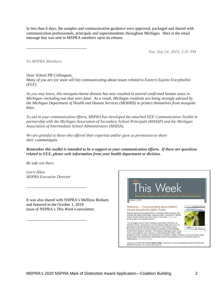In less than 6 days, the samples and communication guidance were approved, packaged and shared with communication professionals, principals and superintendents throughout Michigan. Here is the email message that was sent to MSPRA members upon its release.

*Tue, Sep 24, 2019, 2:01 PM*

*To MSPRA Members*

*Dear School PR Colleagues,*

\_\_\_\_\_\_\_\_\_\_\_\_\_\_\_\_\_\_\_\_\_\_\_\_\_\_\_\_\_\_

*Many of you are (or soon will be) communicating about issues related to Eastern Equine Encephalitis (EEE).* 

*As you may know, this mosquito-borne disease has now resulted in several confirmed human cases in Michigan--including two that were fatal. As a result, Michigan residents are being strongly advised by the Michigan Department of Health and Human Services (MDHHS) to protect themselves from mosquito bites.*

*To aid in your communication efforts, MSPRA has developed the attached EEE Communication Toolkit in partnership with the Michigan Association of Secondary School Principals (MASSP) and the Michigan Association of Intermediate School Administrators (MAISA).*

*We are grateful to those who offered their expertise and/or gave us permission to share their communiqués.*

#### *Remember this toolkit is intended to be a support to your communication efforts. If there are questions related to EEE, please seek information from your health department or division.*

*Be safe out there.*

*Gerri Allen MSPRA Executive Director*

\_\_\_\_\_\_\_\_\_\_\_\_\_\_\_\_\_\_\_\_\_\_\_\_\_\_\_\_\_\_

\_\_\_\_\_\_\_\_\_\_\_\_\_\_\_\_\_\_\_\_\_\_\_\_\_\_\_\_\_\_

It was also shared with NSPRA's Mellissa Braham and featured in the October 1, 2019 issue of NSPRA's *This Week* e-newsletter.

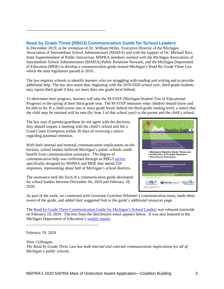#### **Read by Grade Three (RBG3) Communication Guide for School Leaders**

In December 2019, at the invitation of Dr. William Miller, Executive Director of the Michigan Association of Intermediate School Administrators (MAISA) and with the support of Dr. Michael Rice, State Superintendent of Public Instruction, MSPRA members worked with the Michigan Association of Intermediate School Administrators (MAISA) Public Relations Network, and the Michigan Department of Education (MDE) to develop a communication guide around Michigan's Read By Grade Three Law which the state legislature passed in 2016.

The law requires schools to identify learners who are struggling with reading and writing and to provide additional help. The law also states that, beginning with the 2019-2020 school year, third-grade students may repeat third grade if they are more than one grade level behind.

To determine their progress, learners will take the M-STEP (Michigan Student Test of Educational Progress) in the spring of their third-grade year. The M-STEP measures what children should know and be able to do. If a child scores one or more grade levels behind the third-grade reading level, a notice that the child may be retained will be sent (by June 1 of that school year) to the parent and the child's school.

The law says if parents/guardians do not agree with the decision, they should request a meeting with the child's school and file a Good Cause Exemption within 30 days of receiving a notice regarding potential retention.

*\_\_\_\_\_\_\_\_\_\_\_\_\_\_\_\_\_\_\_\_\_\_\_\_\_\_\_\_\_\_\_\_\_\_\_\_*

With both internal and external communication implications on the horizon, school leaders believed Michigan's public schools could benefit from communication assistance. The degree of communication help was confirmed through an RBG3 [survey](https://drive.google.com/file/d/1nu_7P0b8qjPFpQyPOLyvd9Qj-HS8MMfN/view?usp=sharing) specifically designed by MSPRA and MDE that netted 259 responses, representing about half of Michigan's school districts.

The assistance took the form of a communication guide developed for school leaders between December 04, 2019 and February 18, 2020.



As part of the work, we connected with Governor Gretchen Whitmer's communication team, made them aware of the guide, and added their suggested link to the guide's additional resources page.

The [Read by Grade Three Communication Guide for Michigan's School Leaders](https://www.mspra.org/downloads/resources/final_read_by_grade_3_communication_guide.pdf) was released statewide on February 19, 2020. The text from the distribution email appears below. It was also featured in the Michigan Department of Education's [weekly memo.](https://drive.google.com/file/d/1dbg6vMwv7avxEIUpGJ4iOomIg2gzXnZC/view?usp=sharing)

February 19, 2020

*\_\_\_\_\_\_\_\_\_\_\_\_\_\_\_\_\_\_\_\_\_\_\_\_\_\_\_\_\_\_\_\_\_\_\_\_*

*Dear Colleague, The Read by Grade Three Law has both internal and external communication implications for all of Michigan's public schools.*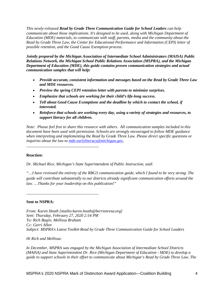*This newly-released Read by Grade Three Communication Guide for School Leaders can help communicate about those implications. It's designed to be used, along with Michigan Department of Education (MDE) materials, to communicate with staff, parents, media and the community about the Read by Grade Three Law, the Center for Educational Performance and Information (CEPI) letter of possible retention, and the Good Cause Exemption process.*

*Jointly prepared by the Michigan Association of Intermediate School Administrators (MAISA) Public Relations Network, the Michigan School Public Relations Association (MSPRA), and the Michigan Department of Education (MDE), this guide contains proven communication strategies and actual communication samples that will help:*

- *Provide accurate, consistent information and messages based on the Read by Grade Three Law and MDE resources.*
- *Preview the spring CEPI retention letter with parents to minimize surprises.*
- *Emphasize that schools are working for their child's life-long success.*
- *Tell about Good Cause Exemptions and the deadline by which to contact the school, if interested.*
- *Reinforce that schools are working every day, using a variety of strategies and resources, to support literacy for all children.*

*Note: Please feel free to share this resource with others. All communication samples included in this document have been used with permission. Schools are strongly encouraged to follow MDE guidance when interpreting and implementing the Read by Grade Three Law. Please direct specific questions or inquiries about the law to [mde-earlyliteracy@michigan.gov.](mailto:mde-earlyliteracy@michigan.gov)*

#### **Reaction:**

*\_\_\_\_\_\_\_\_\_\_\_\_\_\_\_\_\_\_\_\_\_\_\_\_\_\_\_\_\_\_\_\_\_\_\_\_*

*\_\_\_\_\_\_\_\_\_\_\_\_\_\_\_\_\_\_\_\_\_\_\_\_\_\_\_\_\_\_\_\_\_\_\_\_*

*Dr. Michael Rice, Michigan's State Superintendent of Public Instruction, said:*

*"…I have reviewed the entirety of the RBG3 communication guide, which I found to be very strong. The guide will contribute substantially to our districts already significant communication efforts around the law. …Thanks for your leadership on this publication!"*

#### **Sent to NSPRA:**

*From: Karen Heath [mailto:karen.heath@berrienresa.org] Sent: Thursday, February 27, 2020 2:54 PM To: Rich Bagin; Mellissa Braham Cc: Gerri Allen Subject: MSPRA's Latest Toolkit-Read by Grade Three Communication Guide for School Leaders*

#### *Hi Rich and Mellissa-*

*In December, MSPRA was engaged by the Michigan Association of Intermediate School Districts (MAISA) and State Superintendent Dr. Rice (Michigan Department of Education - MDE) to develop a guide to support schools in their effort to communicate about Michigan's Read by Grade Three Law. The*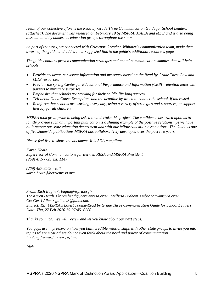*result of our collective effort is the Read by Grade Three Communication Guide for School Leaders (attached). The document was released on February 19 by MSPRA, MAISA and MDE and is also being disseminated by numerous education groups throughout the state.* 

*As part of the work, we connected with Governor Gretchen Whitmer's communication team, made them aware of the guide, and added their suggested link to the guide's additional resources page.* 

*The guide contains proven communication strategies and actual communication samples that will help schools:*

- *Provide accurate, consistent information and messages based on the Read by Grade Three Law and MDE resources.*
- *Preview the spring Center for Educational Performance and Information (CEPI) retention letter with parents to minimize surprises.*
- *Emphasize that schools are working for their child's life-long success.*
- *Tell about Good Cause Exemptions and the deadline by which to contact the school, if interested.*
- *Reinforce that schools are working every day, using a variety of strategies and resources, to support literacy for all children.*

*MSPRA took great pride in being asked to undertake this project. The confidence bestowed upon us to jointly provide such an important publication is a shining example of the positive relationships we have built among our state education department and with our fellow education associations. The Guide is one of five statewide publications MSPRA has collaboratively developed over the past two years.* 

*Please feel free to share the document. It is ADA compliant.*

*Karen Heath Supervisor of Communications for Berrien RESA and MSPRA President (269) 471-7725 ext. 1147*

*(269) 487-8563 - cell karen.heath@berrienresa.org*

*From: Rich Bagin <rbagin@nspra.org> To: Karen Heath <karen.heath@berrienresa.org>, Mellissa Braham <mbraham@nspra.org> Cc: Gerri Allen <gallen48@juno.com> Subject: RE: MSPRA's Latest Toolkit-Read by Grade Three Communication Guide for School Leaders Date: Thu, 27 Feb 2020 15:07:45 -0500*

*Thanks so much. We will review and let you know about our next steps.* 

*You guys are impressive on how you built credible relationships with other state groups to invite you into topics where most others do not even think about the need and power of communication. Looking forward to our review.* 

*Rich*

*\_\_\_\_\_\_\_\_\_\_\_\_\_\_\_\_\_\_\_\_\_\_\_\_\_\_\_\_\_\_\_\_\_\_\_\_*

*\_\_\_\_\_\_\_\_\_\_\_\_\_\_\_\_\_\_\_\_\_\_\_\_\_\_\_\_\_\_\_\_\_\_\_\_*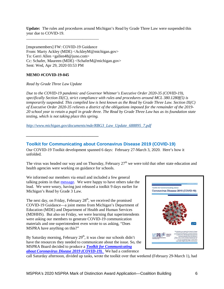**Update:** The rules and procedures around Michigan's Read by Grade Three Law were suspended this year due to COVID-19.

[mspramembers] FW: COVID-19 Guidance From: Marty Ackley (MDE) <AckleyM@michigan.gov> To: Gerri Allen <gallen48@juno.com> Cc: Schafer, Maureen (MDE) <SchaferM@michigan.gov> Sent: Wed, Apr 29, 2020 03:53 PM

*\_\_\_\_\_\_\_\_\_\_\_\_\_\_\_\_\_\_\_\_\_\_\_\_\_\_\_\_\_\_\_\_\_\_\_\_*

#### **MEMO #COVID-19-045**

#### *Read by Grade Three Law Update*

*\_\_\_\_\_\_\_\_\_\_\_\_\_\_\_\_\_\_\_\_\_\_\_\_\_\_\_\_\_\_\_\_\_\_\_\_*

*Due to the COVID-19 pandemic and Governor Whitmer's Executive Order 2020-35 (COVID-19), specifically Section IX(C), strict compliance with rules and procedures around MCL 380.1280f(5) is temporarily suspended. This compiled law is best known as the Read by Grade Three Law. Section IX(C) of Executive Order 2020-35 relieves a district of the obligations imposed for the remainder of the 2019- 20 school year to retain a pupil in grade three. The Read by Grade Three Law has as its foundation state testing, which is not taking place this spring.*

*[http://www.michigan.gov/documents/mde/RBG3\\_Law\\_Update\\_688895\\_7.pdf](https://gcc01.safelinks.protection.outlook.com/?url=http%3A%2F%2Fwww.michigan.gov%2Fdocuments%2Fmde%2FRBG3_Law_Update_688895_7.pdf&data=02%7C01%7Cackleym%40michigan.gov%7C7fb9a6b10ae44040dd8708d7ec6e3dc7%7Cd5fb7087377742ad966a892ef47225d1%7C0%7C1%7C637237830536704048&sdata=HAGSxPpsQZYqtG%2FvwQ6gpyTsnKcl2We8JHubHpIMCmQ%3D&reserved=0)*

**Toolkit for Communicating about Coronavirus Disease 2019 (COVID-19)**

Our COVID-19 Toolkit development spanned 6 days: February 27-March 3, 2020. Here's how it unfolded.

The virus was headed our way and on Thursday, February  $27<sup>th</sup>$  we were told that other state education and health agencies were working on guidance for schools.

We informed our members via email and included a few general talking points in that [message.](https://drive.google.com/file/d/16EyAnAjC5AnVdPN1xwNyV6X1rXSJYZXC/view?usp=sharing) We were happy to have others take the lead. We were weary, having just released a toolkit 9 days earlier for Michigan's Read by Grade 3 Law.

The next day, on Friday, February  $28<sup>th</sup>$ , we received the promised COVID-19 Guidance—a joint memo from Michigan's Department of Education (MDE) and Department of Health and Human Services (MDHHS). But also on Friday, we were learning that superintendents were asking our members to generate COVID-19 communication materials and one superintendent even wrote to us asking, "Does MSPRA have anything on this?"

By Saturday morning, February  $29<sup>th</sup>$ , it was clear our schools didn't have the resources they needed to communicate about the issue. So, the MSPRA Board decided to produce a *[Toolkit for Communicating](https://www.mspra.org/downloads/home/communication_toolkit_coronavirus_and_covid-19.pdf)  [about Coronavirus Disease 2019 \(COVID-19\)](https://www.mspra.org/downloads/home/communication_toolkit_coronavirus_and_covid-19.pdf)*. We had a conference



call Saturday afternoon, divided up tasks, wrote the toolkit over that weekend (February 29-March 1), had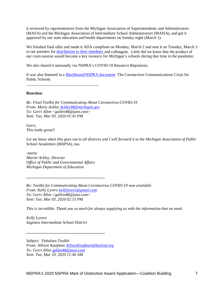it reviewed by representatives from the Michigan Association of Superintendents and Administrators (MASA) and the Michigan Association of Intermediate School Administrators (MAISA), and got it approved by our state education and health departments on Sunday night (March 1).

We finished final edits and made it ADA compliant on Monday, March 2 and sent it on Tuesday, March 3 to our partners for [distribution to their members](https://drive.google.com/file/d/1aIfdi7Md5kgkzJoicPbz96XPUzaflCQd/view?usp=sharing) and colleagues. Little did we know that the product of our cram session would become a key resource for Michigan's schools during that time in the pandemic.

We also shared it nationally via NSPRA's COVID-19 Resource Repository.

It was also featured in a [Blackboard/NSPRA document:](https://drive.google.com/file/d/120TodNeM6HJu7vMh-yREjlCjtt5EwdTP/view?usp=sharing) The Coronavirus Communications Crisis for Public Schools.

**Reaction:**

*Re: Final Toolkit for Communicating About Coronavirus-COVID-19 From: Marty Ackley [AckleyM@michigan.gov](mailto:AckleyM@michigan.gov) To: Gerri Allen <gallen48@juno.com> Sent: Tue, Mar 03, 2020 01:41 PM*

*Gerri, This looks great!!*

*Let me know when this goes out to all districts and I will forward it to the Michigan Association of Public School Academies (MAPSA), too.*

*-marty Martin Ackley, Director Office of Public and Governmental Affairs Michigan Department of Education*

**\_\_\_\_\_\_\_\_\_\_\_\_\_\_\_\_\_\_\_\_\_\_\_\_\_\_\_\_\_\_\_\_\_\_\_\_\_\_\_**

*\_\_\_\_\_\_\_\_\_\_\_\_\_\_\_\_\_\_\_\_\_\_\_\_\_\_\_\_\_\_\_\_\_\_\_\_*

*Re: Toolkit for Communicating About Coronavirus-COVID-19 now available From: Kelly Lyvere [kellylyvere@gmail.com](mailto:kellylyvere@gmail.com) To: Gerri Allen <gallen48@juno.com> Sent: Tue, Mar 03, 2020 02:15 PM*

*This is incredible. Thank you so much for always supplying us with the information that we need.*

*Kelly Lyvere Saginaw Intermediate School District*

*Subject: Fabulous Toolkit From: Allison Kaufman [AllisonKaufman@kentisd.org](mailto:AllisonKaufman@kentisd.org) To: Gerri Allen* [gallen48@juno.com](mailto:gallen48@juno.com) *Sent: Tue, Mar 10, 2020 11:46 AM*

**\_\_\_\_\_\_\_\_\_\_\_\_\_\_\_\_\_\_\_\_\_\_\_\_\_\_\_\_\_\_\_\_\_\_\_\_\_\_\_**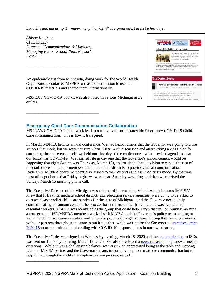*Love this and am using it – many, many thanks! What a great effort in just a few days.*

*Allison Kaufman 616.365.2227 Director | Communications & Marketing Managing Editor |School News Network Kent ISD*

*\_\_\_\_\_\_\_\_\_\_\_\_\_\_\_\_\_\_\_\_\_\_\_\_\_\_\_\_\_\_\_\_\_\_\_\_*

*\_\_\_\_\_\_\_\_\_\_\_\_\_\_\_\_\_\_\_\_\_\_\_\_\_\_\_\_\_\_\_\_\_\_\_\_*

*\_\_\_\_\_\_\_\_\_\_\_\_\_\_\_\_\_\_\_\_\_\_\_\_\_\_\_\_\_\_\_\_\_\_\_\_*

An epidemiologist from Minnesota, doing work for the World Health Organization, contacted MSPRA and asked permission to use our COVID-19 materials and shared them internationally.

MSPRA's COVID-19 Toolkit was also noted in various Michigan news outlets.



#### **Emergency Child Care Communication Collaboration**

MSPRA's COVID-19 Toolkit work lead to our involvement in statewide Emergency COVID-19 Child Care communication. This is how it transpired.

In March, MSPRA held its annual conference. We had heard rumors that the Governor was going to close schools that week, but we were not sure when. After much discussion and after writing a crisis plan for cancelling the conference itself, we held our first day of the conference—with a revised agenda so that our focus was COVID-19. We learned late in day one that the Governor's announcement would be happening that night (which was Thursday, March 12), and made the hard decision to cancel the rest of the conference so that our members could be in their districts to provide critical communication leadership. MSPRA board members also rushed to their districts and assumed crisis mode. By the time most of us got home that Friday night, we were beat. Saturday was a fog, and then we received the Sunday, March 15 morning phone call.

The Executive Director of the Michigan Association of Intermediate School Administrators (MAISA) knew that ISDs (intermediate school districts aka education service agencies) were going to be asked to oversee disaster relief child care services for the state of Michigan—and the Governor needed help communicating the announcement, the process for enrollment and that child care was available to essential workers. MSPRA was identified as the group that could help. From that call on Sunday morning, a core group of ISD MSPRA members worked with MAISA and the Governor's policy team helping to write the child care communication and shape the process through our lens. During that week, we worked with our partners throughout the state to put it together, while waiting for the Governor's [Executive](https://content.govdelivery.com/attachments/MIEOG/2020/03/18/file_attachments/1405269/EO%202020-16%20Emerg%20order%20-%20Child%20Care.pdf) Order [2020-16](https://content.govdelivery.com/attachments/MIEOG/2020/03/18/file_attachments/1405269/EO%202020-16%20Emerg%20order%20-%20Child%20Care.pdf) to make it official, and dealing with COVID-19 response plans in our own districts.

The Executive Order was signed on Wednesday evening, March 18, 2020 and the [communication](https://drive.google.com/file/d/1P_txToKxHbS6N4QKNDIbc2vJ7FpiCjIa/view?usp=sharing) to ISDs was sent on Thursday morning, March 19, 2020. We also developed a [news release](https://drive.google.com/file/d/1JynrRdAYGN3hYR4U00k1GBrXtu_hWKFE/view?usp=sharing) to help answer media questions. While it was a challenging balance, we very much appreciated being at the table and working with our MAISA partner and the Governor's team, to not only help formulate the communication but to help think through the child care implementation process, as well.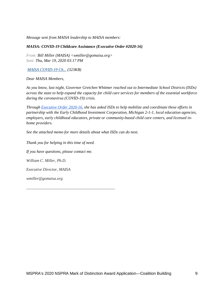*Message sent from MAISA leadership to MAISA members:*

#### *MAISA: COVID-19 Childcare Assistance (Executive Order #2020-16)*

*From: Bill Miller (MAISA) <wmiller@gomaisa.org> Sent: Thu, Mar 19, 2020 03:17 PM*

*[MAISA COVID-19 Ch...](javascript:downloadingImage() (323KB)*

*Dear MAISA Members,*

*As you know, last night, Governor Gretchen Whitmer reached out to Intermediate School Districts (ISDs) across the state to help expand the capacity for child care services for members of the essential workforce during the coronavirus (COVID-19) crisis.*

*Through [Executive Order 2020-16,](https://content.govdelivery.com/attachments/MIEOG/2020/03/18/file_attachments/1405269/EO%202020-16%20Emerg%20order%20-%20Child%20Care.pdf) she has asked ISDs to help mobilize and coordinate these efforts in partnership with the Early Childhood Investment Corporation, Michigan 2-1-1, local education agencies, employers, early childhood educators, private or community-based child care centers, and licensed inhome providers.*

*See the attached memo for more details about what ISDs can do next.*

*Thank you for helping in this time of need. If you have questions, please contact me. William C. Miller, Ph.D. Executive Director, MAISA wmiller@gomaisa.org*

\_\_\_\_\_\_\_\_\_\_\_\_\_\_\_\_\_\_\_\_\_\_\_\_\_\_\_\_\_\_\_\_\_\_\_\_\_\_\_\_\_\_\_\_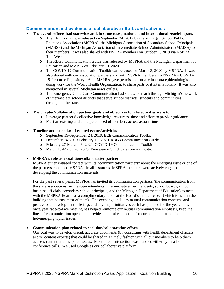#### **Documentation and evidence of collaborative efforts and activities**

- **The overall efforts had statewide and, in some cases, national and international reach/impact.** 
	- o The EEE Toolkit was released on September 24, 2019 by the Michigan School Public Relations Association (MSPRA), the Michigan Association of Secondary School Principals (MASSP) and the Michigan Association of Intermediate School Administrators (MAISA) to their members. It was also shared with NSPRA members on October 1, 2019 via NSPRA This Week.
	- o The RBG3 Communication Guide was released by MSPRA and the Michigan Department of Education and MAISA on February 19, 2020.
	- o The COVID-19 Communication Toolkit was released on March 3, 2020 by MSPRA. It was also shared with our association partners and with NSPRA members via NSPRA's COVID-19 Resource Repository. And, MSPRA gave permission for a Minnesota epidemiologist, doing work for the World Health Organization, to share parts of it internationally. It was also mentioned in several Michigan news outlets.
	- o The Emergency Child Care Communication had statewide reach through Michigan's network of intermediate school districts that serve school districts, students and communities throughout the state.
- **The chapter/collaboration partner goals and objectives for the activities were to**:
	- o Leverage partners' collective knowledge, resources, time and effort to provide guidance.
	- o Meet an existing and anticipated need of members across associations.

#### • **Timeline and calendar of related events/activities**

- o September 19-September 24, 2019, EEE Communication Toolkit
- o December 04, 2019-February 19, 2020, RBG3 Communication Guide
- o February 27-March 03, 2020, COVID-19 Communication Toolkit
- o March 15-March 20, 2020, Emergency Child Care Communication

#### • **MSPRA's role as a coalition/collaborative partner**

MSPRA either initiated contact with its "communication partners" about the emerging issue or one of the partners contacted MSPRA. In all instances, MSPRA members were actively engaged in developing the communication materials.

For the past several years, MSPRA has invited its communication partners (the communicators from the state associations for the superintendents, intermediate superintendents, school boards, school business officials, secondary school principals, and the Michigan Department of Education) to meet with the MSPRA Board for a complimentary lunch at the Board's annual retreat (which is held in the building that houses most of them). The exchange includes mutual communication concerns and professional development offerings and any major initiatives each has planned for the year. This once/year face-to-face meeting has helped reinforce our mutual communication emphasis, keep the lines of communication open, and provide a natural connection for our communication about hot/emerging topics/issues.

#### • **Communication plan related to coalition/collaboration efforts**

Our goal was to develop useful, accurate documents (by consulting with health department officials and/or content experts) that could be shared in a timely fashion with all our members to help them address current or anticipated issues. Most of our interaction was handled either by email or conference calls. We used Google as our collaborative platform.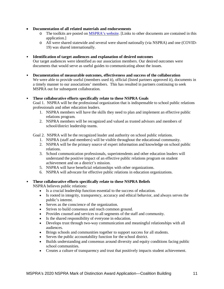- **Documentation of all related materials and endorsements**
	- o The toolkits are posted on [MSPRA's website.](https://www.mspra.org/) [Links to other documents are contained in this application.]
	- o All were shared statewide and several were shared nationally (via NSPRA) and one (COVID-19) was shared internationally.
- **Identification of target audiences and explanation of desired outcomes**

Our target audiences were identified as our association members. Our desired outcomes were documents that would serve as useful guides to communicating about the issues.

- **Documentation of measurable outcomes, effectiveness and success of the collaboration** We were able to provide useful (members used it), official (listed partners approved it), documents in a timely manner to our associations' members. This has resulted in partners continuing to seek MSPRA out for subsequent collaboration.
- **These collaborative efforts specifically relate to these NSPRA Goals**

Goal 1. NSPRA will be the professional organization that is indispensable to school public relations professionals and other education leaders.

- 1. NSPRA members will have the skills they need to plan and implement an effective public relations program.
- 2. NSPRA members will be recognized and valued as trusted advisors and members of school/district leadership teams.

#### Goal 2. NSPRA will be the recognized leader and authority on school public relations.

- 1. NSPRA (staff and members) will be visible throughout the educational community.
- 2. NSPRA will be the primary source of expert information and knowledge on school public relations.
- 3. School communication professionals, superintendents and other education leaders will understand the positive impact of an effective public relations program on student achievement and on a district's mission.
- 5. NSPRA will have beneficial relationships with other organizations.
- 6. NSPRA will advocate for effective public relations in education organizations.

#### • **These collaborative efforts specifically relate to these NSPRA Beliefs**

NSPRA believes public relations:

- Is a crucial leadership function essential to the success of education.
- Is rooted in integrity, transparency, accuracy and ethical behavior, and always serves the public's interest.
- Serves as the conscience of the organization.
- Strives to build consensus and reach common ground.
- Provides counsel and services to all segments of the staff and community.
- Is the shared responsibility of everyone in education.
- Develops trust through two-way communication and meaningful relationships with all audiences.
- Brings schools and communities together to support success for all students.
- Serves the public accountability function for the school district.
- Builds understanding and consensus around diversity and equity conditions facing public school communities.
- Creates a culture of transparency and trust that positively impacts student achievement.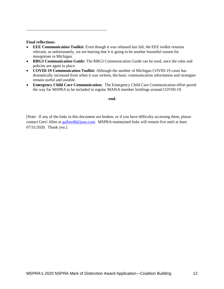#### **Final reflections:**

\_\_\_\_\_\_\_\_\_\_\_\_\_\_\_\_\_\_\_\_\_\_\_\_\_\_\_\_\_\_\_\_\_\_\_\_\_\_\_\_

- **EEE Communication Toolkit:** Even though it was released last fall, the EEE toolkit remains relevant, as unfortunately, we are hearing that it is going to be another bountiful season for mosquitoes in Michigan.
- **RBG3 Communication Guide:** The RBG3 Communication Guide can be used, once the rules and policies are again in place.
- **COVID-19 Communication Toolkit:** Although the number of Michigan COVID-19 cases has dramatically increased from when it was written, the basic communication information and strategies remain useful and useable.
- **Emergency Child Care Communication:** The Emergency Child Care Communication effort paved the way for MSPRA to be included in regular MAISA member briefings around COVID-19.

#### **-end-**

[Note: If any of the links in this document are broken, or if you have difficulty accessing them, please contact Gerri Allen at [gallen48@juno.com.](mailto:gallen48@juno.com) MSPRA-maintained links will remain live until at least 07/31/2020. Thank you.]